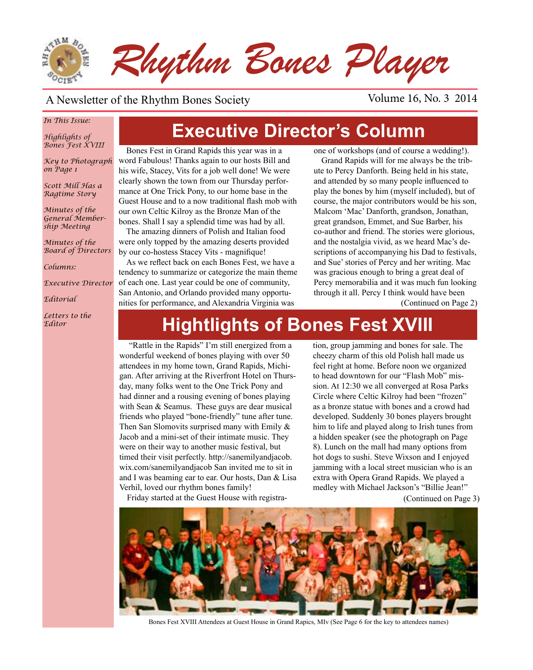

### A Newsletter of the Rhythm Bones Society Volume 16, No. 3 2014

#### *In This Issue:*

*Highlights of Bones Fest XVIII*

*Key to Photograph on Page 1*

*Scott Mill Has a Ragtime Story*

*Minutes of the General Membership Meeting*

*Minutes of the Board of Directors*

*Columns:* 

*Executive Director*

*Editorial*

*Letters to the Editor*

# **Executive Director's Column**

Bones Fest in Grand Rapids this year was in a word Fabulous! Thanks again to our hosts Bill and his wife, Stacey, Vits for a job well done! We were clearly shown the town from our Thursday performance at One Trick Pony, to our home base in the Guest House and to a now traditional flash mob with our own Celtic Kilroy as the Bronze Man of the bones. Shall I say a splendid time was had by all.

The amazing dinners of Polish and Italian food were only topped by the amazing deserts provided by our co-hostess Stacey Vits - magnifique!

As we reflect back on each Bones Fest, we have a tendency to summarize or categorize the main theme of each one. Last year could be one of community, San Antonio, and Orlando provided many opportunities for performance, and Alexandria Virginia was

one of workshops (and of course a wedding!).

Grand Rapids will for me always be the tribute to Percy Danforth. Being held in his state, and attended by so many people influenced to play the bones by him (myself included), but of course, the major contributors would be his son, Malcom 'Mac' Danforth, grandson, Jonathan, great grandson, Emmet, and Sue Barber, his co-author and friend. The stories were glorious, and the nostalgia vivid, as we heard Mac's descriptions of accompanying his Dad to festivals, and Sue' stories of Percy and her writing. Mac was gracious enough to bring a great deal of Percy memorabilia and it was much fun looking through it all. Percy I think would have been

(Continued on Page 2)

# **Hightlights of Bones Fest XVIII**

 "Rattle in the Rapids" I'm still energized from a wonderful weekend of bones playing with over 50 attendees in my home town, Grand Rapids, Michigan. After arriving at the Riverfront Hotel on Thursday, many folks went to the One Trick Pony and had dinner and a rousing evening of bones playing with Sean & Seamus. These guys are dear musical friends who played "bone-friendly" tune after tune. Then San Slomovits surprised many with Emily & Jacob and a mini-set of their intimate music. They were on their way to another music festival, but timed their visit perfectly. http://sanemilyandjacob. wix.com/sanemilyandjacob San invited me to sit in and I was beaming ear to ear. Our hosts, Dan & Lisa Verhil, loved our rhythm bones family!

Friday started at the Guest House with registra-

tion, group jamming and bones for sale. The cheezy charm of this old Polish hall made us feel right at home. Before noon we organized to head downtown for our "Flash Mob" mission. At 12:30 we all converged at Rosa Parks Circle where Celtic Kilroy had been "frozen" as a bronze statue with bones and a crowd had developed. Suddenly 30 bones players brought him to life and played along to Irish tunes from a hidden speaker (see the photograph on Page 8). Lunch on the mall had many options from hot dogs to sushi. Steve Wixson and I enjoyed jamming with a local street musician who is an extra with Opera Grand Rapids. We played a medley with Michael Jackson's "Billie Jean!"

(Continued on Page 3)



Bones Fest XVIII Attendees at Guest House in Grand Rapics, MIv (See Page 6 for the key to attendees names)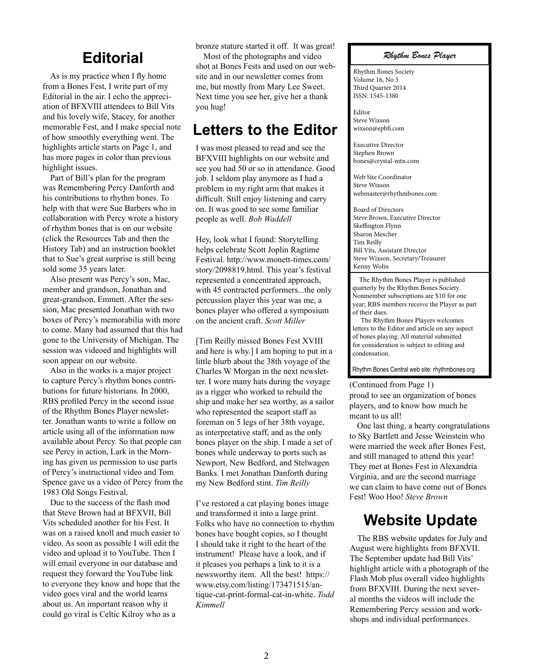### **Editorial**

As is my practice when I fly home from a Bones Fest, I write part of my Editorial in the air. I echo the appreciation of BFXVIII attendees to Bill Vits and his lovely wife, Stacey, for another memorable Fest, and I make special note of how smoothly everything went. The highlights article starts on Page 1, and has more pages in color than previous highlight issues.

Part of Bill's plan for the program was Remembering Percy Danforth and his contributions to rhythm bones. To help with that were Sue Barbers who in collaboration with Percy wrote a history of rhythm bones that is on our website (click the Resources Tab and then the History Tab) and an instruction booklet that to Sue's great surprise is still being sold some 35 years later.

Also present was Percy's son, Mac, member and grandson, Jonathan and great-grandson, Emmett. After the session, Mac presented Jonathan with two boxes of Percy's memorabilia with more to come. Many had assumed that this had gone to the University of Michigan. The session was videoed and highlights will soon appear on our website.

Also in the works is a major project to capture Percy's rhythm bones contributions for future historians. In 2000, RBS profiled Percy in the second issue of the Rhythm Bones Player newsletter. Jonathan wants to write a follow on article using all of the information now available about Percy. So that people can see Percy in action, Lark in the Morning has given us permission to use parts of Percy's instructional video and Tom Spence gave us a video of Percy from the 1983 Old Songs Festival.

Due to the success of the flash mod that Steve Brown had at BFXVII, Bill Vits scheduled another for his Fest. It was on a raised knoll and much easier to video. As soon as possible I will edit the video and upload it to YouTube. Then I will email everyone in our database and request they forward the YouTube link to everyone they know and hope that the video goes viral and the world learns about us. An important reason why it could go viral is Celtic Kilroy who as a

bronze stature started it off. It was great!

Most of the photographs and video shot at Bones Fests and used on our website and in our newsletter comes from me, but mostly from Mary Lee Sweet. Next time you see her, give her a thank you hug!

### **Letters to the Editor**

I was most pleased to read and see the BFXVIII highlights on our website and see you had 50 or so in attendance. Good job. I seldom play anymore as I had a problem in my right arm that makes it difficult. Still enjoy listening and carry on. It was good to see some familiar people as well. *Bob Waddell*

Hey, look what I found: Storytelling helps celebrate Scott Joplin Ragtime Festival. http://www.monett-times.com/ story/2098819.html. This year's festival represented a concentrated approach, with 45 contracted performers...the only percussion player this year was me, a bones player who offered a symposium on the ancient craft. *Scott Miller*

[Tim Reilly missed Bones Fest XVIII and here is why.] I am hoping to put in a little blurb about the 38th voyage of the Charles W Morgan in the next newsletter. I wore many hats during the voyage as a rigger who worked to rebuild the ship and make her sea worthy, as a sailor who represented the seaport staff as foreman on 5 legs of her 38th voyage, as interpretative staff, and as the only bones player on the ship. I made a set of bones while underway to ports such as Newport, New Bedford, and Stelwagen Banks. I met Jonathan Danforth during my New Bedford stint. *Tim Reilly*

I've restored a cat playing bones image and transformed it into a large print. Folks who have no connection to rhythm bones have bought copies, so I thought I should take it right to the heart of the instrument! Please have a look, and if it pleases you perhaps a link to it is a newsworthy item. All the best! https:// www.etsy.com/listing/173471515/antique-cat-print-formal-cat-in-white. *Todd Kimmell*

#### *Rhythm Bones Player*

Rhythm Bones Society Volume 16, No 3 Third Quarter 2014 ISSN: 1545-1380

Editor Steve Wixson wixson@epbfi.com

Executive Director Stephen Brown bones@crystal-mtn.com

Web Site Coordinator Steve Wixson webmaster@rhythmbones.com

Board of Directors Steve Brown, Executive Director Skeffington Flynn Sharon Mescher Tim Reilly Bill Vits, Assistant Director Steve Wixson, Secretary/Treasurer Kenny Wolin

 The Rhythm Bones Player is published quarterly by the Rhythm Bones Society. Nonmember subscriptions are \$10 for one year; RBS members receive the Player as part of their dues.

 The Rhythm Bones Players welcomes letters to the Editor and article on any aspect of bones playing. All material submitted for consideration is subject to editing and condensation.

Rhythm Bones Central web site: rhythmbones.org

#### (Continued from Page 1)

proud to see an organization of bones players, and to know how much he meant to us all!

One last thing, a hearty congratulations to Sky Bartlett and Jesse Weinstein who were married the week after Bones Fest, and still managed to attend this year! They met at Bones Fest in Alexandria Virginia, and are the second marriage we can claim to have come out of Bones Fest! Woo Hoo! *Steve Brown*

### **Website Update**

The RBS website updates for July and August were highlights from BFXVII. The September update had Bill Vits' highlight article with a photograph of the Flash Mob plus overall video highlights from BFXVIII. During the next several months the videos will include the Remembering Percy session and workshops and individual performances.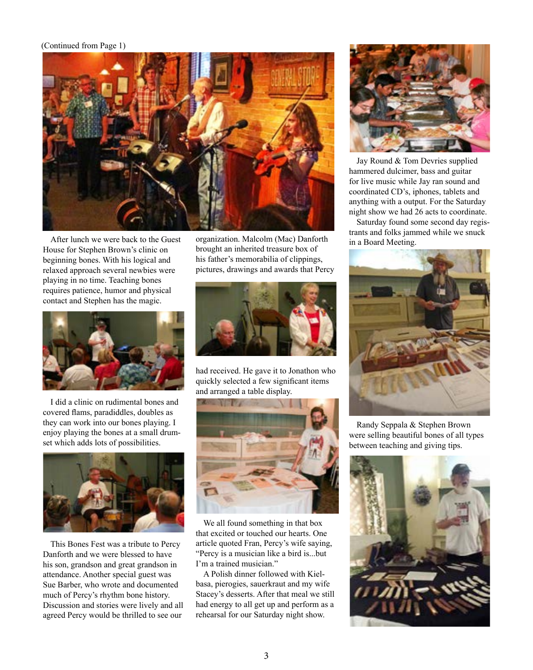#### (Continued from Page 1)



After lunch we were back to the Guest House for Stephen Brown's clinic on beginning bones. With his logical and relaxed approach several newbies were playing in no time. Teaching bones requires patience, humor and physical contact and Stephen has the magic.



I did a clinic on rudimental bones and covered flams, paradiddles, doubles as they can work into our bones playing. I enjoy playing the bones at a small drumset which adds lots of possibilities.



This Bones Fest was a tribute to Percy Danforth and we were blessed to have his son, grandson and great grandson in attendance. Another special guest was Sue Barber, who wrote and documented much of Percy's rhythm bone history. Discussion and stories were lively and all agreed Percy would be thrilled to see our organization. Malcolm (Mac) Danforth brought an inherited treasure box of his father's memorabilia of clippings, pictures, drawings and awards that Percy



had received. He gave it to Jonathon who quickly selected a few significant items and arranged a table display.



We all found something in that box that excited or touched our hearts. One article quoted Fran, Percy's wife saying, "Percy is a musician like a bird is...but I'm a trained musician."

A Polish dinner followed with Kielbasa, pierogies, sauerkraut and my wife Stacey's desserts. After that meal we still had energy to all get up and perform as a rehearsal for our Saturday night show.



Jay Round & Tom Devries supplied hammered dulcimer, bass and guitar for live music while Jay ran sound and coordinated CD's, iphones, tablets and anything with a output. For the Saturday night show we had 26 acts to coordinate.

Saturday found some second day registrants and folks jammed while we snuck in a Board Meeting.



Randy Seppala & Stephen Brown were selling beautiful bones of all types between teaching and giving tips.

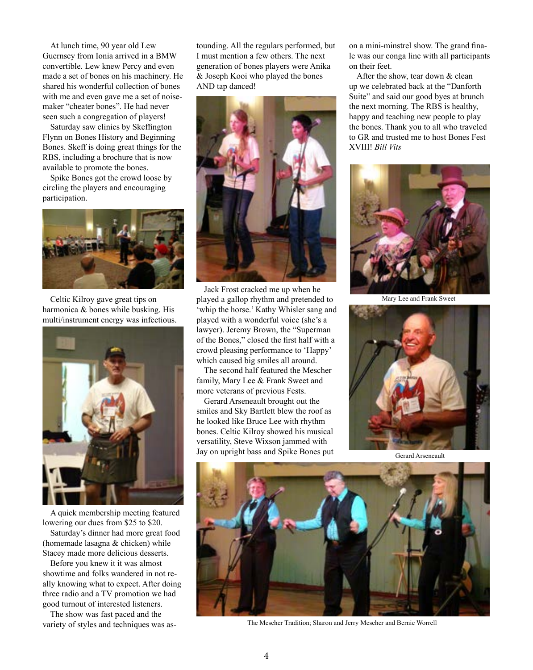At lunch time, 90 year old Lew Guernsey from Ionia arrived in a BMW convertible. Lew knew Percy and even made a set of bones on his machinery. He shared his wonderful collection of bones with me and even gave me a set of noisemaker "cheater bones". He had never seen such a congregation of players!

Saturday saw clinics by Skeffington Flynn on Bones History and Beginning Bones. Skeff is doing great things for the RBS, including a brochure that is now available to promote the bones.

Spike Bones got the crowd loose by circling the players and encouraging participation.



Celtic Kilroy gave great tips on harmonica & bones while busking. His multi/instrument energy was infectious.



A quick membership meeting featured lowering our dues from \$25 to \$20.

Saturday's dinner had more great food (homemade lasagna & chicken) while Stacey made more delicious desserts.

Before you knew it it was almost showtime and folks wandered in not really knowing what to expect. After doing three radio and a TV promotion we had good turnout of interested listeners.

The show was fast paced and the variety of styles and techniques was astounding. All the regulars performed, but I must mention a few others. The next generation of bones players were Anika & Joseph Kooi who played the bones AND tap danced!



Jack Frost cracked me up when he played a gallop rhythm and pretended to 'whip the horse.' Kathy Whisler sang and played with a wonderful voice (she's a lawyer). Jeremy Brown, the "Superman of the Bones," closed the first half with a crowd pleasing performance to 'Happy' which caused big smiles all around.

The second half featured the Mescher family, Mary Lee & Frank Sweet and more veterans of previous Fests.

Gerard Arseneault brought out the smiles and Sky Bartlett blew the roof as he looked like Bruce Lee with rhythm bones. Celtic Kilroy showed his musical versatility, Steve Wixson jammed with Jay on upright bass and Spike Bones put on a mini-minstrel show. The grand finale was our conga line with all participants on their feet.

After the show, tear down & clean up we celebrated back at the "Danforth Suite" and said our good byes at brunch the next morning. The RBS is healthy, happy and teaching new people to play the bones. Thank you to all who traveled to GR and trusted me to host Bones Fest XVIII! *Bill Vits*



Mary Lee and Frank Sweet



Gerard Arseneault



The Mescher Tradition; Sharon and Jerry Mescher and Bernie Worrell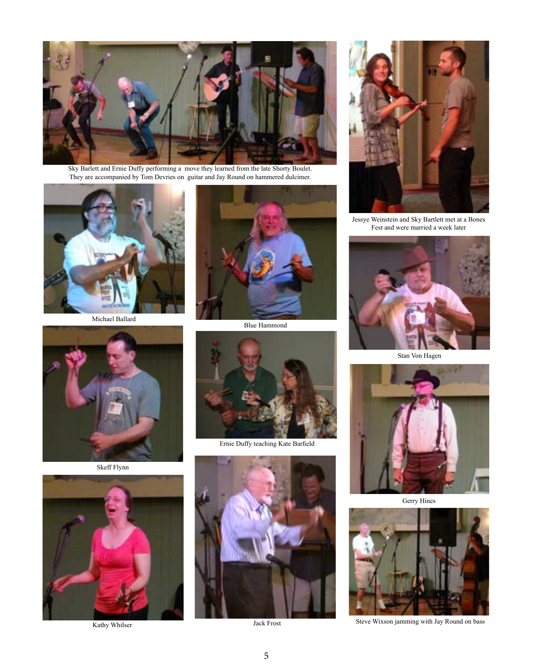![](_page_4_Picture_0.jpeg)

Sky Barlett and Ernie Duffy performing a move they learned from the late Shorty Boulet. They are accompanied by Tom Devries on guitar and Jay Round on hammered dulcimer.

![](_page_4_Picture_2.jpeg)

Michael Ballard

![](_page_4_Picture_4.jpeg)

Skeff Flynn

![](_page_4_Picture_6.jpeg)

Kathy Whilser

![](_page_4_Picture_8.jpeg)

Blue Hammond

![](_page_4_Picture_10.jpeg)

Ernie Duffy teaching Kate Barfield

![](_page_4_Picture_12.jpeg)

Jack Frost

![](_page_4_Picture_14.jpeg)

Jessye Weinstein and Sky Bartlett met at a Bones Fest and were married a week later

![](_page_4_Picture_16.jpeg)

Stan Von Hagen

![](_page_4_Picture_18.jpeg)

Gerry Hines

![](_page_4_Picture_20.jpeg)

Steve Wixson jamming with Jay Round on bass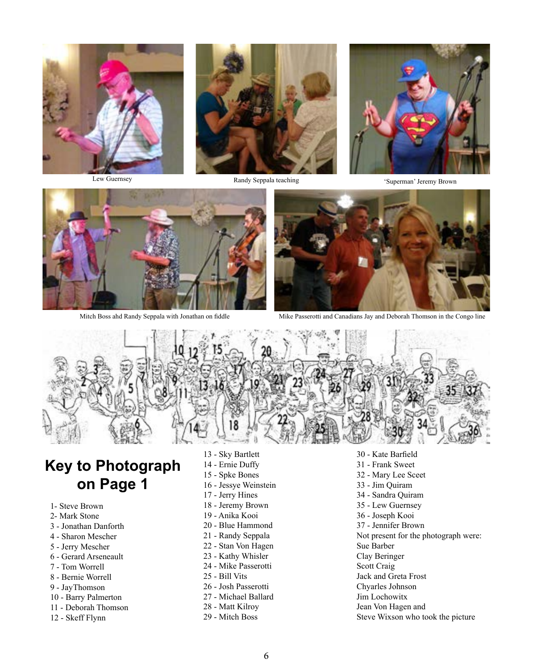![](_page_5_Picture_0.jpeg)

Randy Seppala teaching

Lew Guernsey Randy Seppala teaching 'Superman' Jeremy Brown

![](_page_5_Picture_4.jpeg)

![](_page_5_Picture_6.jpeg)

Mitch Boss ahd Randy Seppala with Jonathan on fiddle Mike Passerotti and Canadians Jay and Deborah Thomson in the Congo line

![](_page_5_Picture_8.jpeg)

# **Key to Photograph on Page 1**

- 1- Steve Brown
- 2- Mark Stone
- 3 Jonathan Danforth
- 4 Sharon Mescher
- 5 Jerry Mescher
- 6 Gerard Arseneault
- 7 Tom Worrell
- 8 Bernie Worrell
- 9 JayThomson
- 10 Barry Palmerton
- 11 Deborah Thomson
- 12 Skeff Flynn
- 13 Sky Bartlett
- 14 Ernie Duffy
- 15 Spke Bones
- 16 Jessye Weinstein
- 17 Jerry Hines
- 18 Jeremy Brown
- 19 Anika Kooi
- 20 Blue Hammond
- 21 Randy Seppala
- 22 Stan Von Hagen
- 23 Kathy Whisler
- 24 Mike Passerotti
- 25 Bill Vits
- 26 Josh Passerotti 27 - Michael Ballard
- 
- 28 Matt Kilroy
- 29 Mitch Boss

30 - Kate Barfield 31 - Frank Sweet 32 - Mary Lee Sceet 33 - Jim Quiram 34 - Sandra Quiram 35 - Lew Guernsey 36 - Joseph Kooi 37 - Jennifer Brown Not present for the photograph were: Sue Barber Clay Beringer Scott Craig Jack and Greta Frost Chyarles Johnson Jim Lochowitx Jean Von Hagen and Steve Wixson who took the picture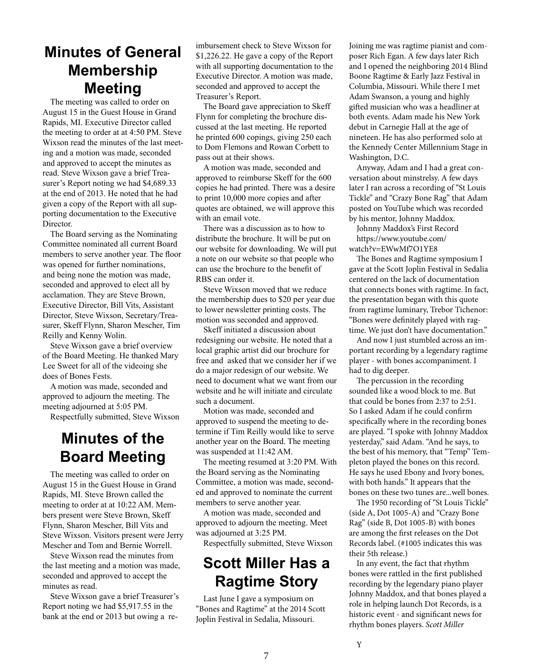# **Minutes of General Membership Meeting**

The meeting was called to order on August 15 in the Guest House in Grand Rapids, MI. Executive Director called the meeting to order at at 4:50 PM. Steve Wixson read the minutes of the last meeting and a motion was made, seconded and approved to accept the minutes as read. Steve Wixson gave a brief Treasurer's Report noting we had \$4,689.33 at the end of 2013. He noted that he had given a copy of the Report with all supporting documentation to the Executive Director.

The Board serving as the Nominating Committee nominated all current Board members to serve another year. The floor was opened for further nominations, and being none the motion was made, seconded and approved to elect all by acclamation. They are Steve Brown, Executive Director, Bill Vits, Assistant Director, Steve Wixson, Secretary/Treasurer, Skeff Flynn, Sharon Mescher, Tim Reilly and Kenny Wolin.

Steve Wixson gave a brief overview of the Board Meeting. He thanked Mary Lee Sweet for all of the videoing she does of Bones Fests.

A motion was made, seconded and approved to adjourn the meeting. The meeting adjourned at 5:05 PM.

Respectfully submitted, Steve Wixson

# **Minutes of the Board Meeting**

The meeting was called to order on August 15 in the Guest House in Grand Rapids, MI. Steve Brown called the meeting to order at at 10:22 AM. Members present were Steve Brown, Skeff Flynn, Sharon Mescher, Bill Vits and Steve Wixson. Visitors present were Jerry Mescher and Tom and Bernie Worrell.

Steve Wixson read the minutes from the last meeting and a motion was made, seconded and approved to accept the minutes as read.

Steve Wixson gave a brief Treasurer's Report noting we had \$5,917.55 in the bank at the end or 2013 but owing a reimbursement check to Steve Wixson for \$1,226.22. He gave a copy of the Report with all supporting documentation to the Executive Director. A motion was made, seconded and approved to accept the Treasurer's Report.

The Board gave appreciation to Skeff Flynn for completing the brochure discussed at the last meeting. He reported he printed 600 copings, giving 250 each to Dom Flemons and Rowan Corbett to pass out at their shows.

A motion was made, seconded and approved to reimburse Skeff for the 600 copies he had printed. There was a desire to print 10,000 more copies and after quotes are obtained, we will approve this with an email vote.

There was a discussion as to how to distribute the brochure. It will be put on our website for downloading. We will put a note on our website so that people who can use the brochure to the benefit of RBS can order it.

Steve Wixson moved that we reduce the membership dues to \$20 per year due to lower newsletter printing costs. The motion was seconded and approved.

Skeff initiated a discussion about redesigning our website. He noted that a local graphic artist did our brochure for free and asked that we consider her if we do a major redesign of our website. We need to document what we want from our website and he will initiate and circulate such a document.

Motion was made, seconded and approved to suspend the meeting to determine if Tim Reilly would like to serve another year on the Board. The meeting was suspended at 11:42 AM.

The meeting resumed at 3:20 PM. With the Board serving as the Nominating Committee, a motion was made, seconded and approved to nominate the current members to serve another year.

A motion was made, seconded and approved to adjourn the meeting. Meet was adjourned at 3:25 PM.

Respectfully submitted, Steve Wixson

# **Scott Miller Has a Ragtime Story**

Last June I gave a symposium on "Bones and Ragtime" at the 2014 Scott Joplin Festival in Sedalia, Missouri.

7

Joining me was ragtime pianist and composer Rich Egan. A few days later Rich and I opened the neighboring 2014 Blind Boone Ragtime & Early Jazz Festival in Columbia, Missouri. While there I met Adam Swanson, a young and highly gifted musician who was a headliner at both events. Adam made his New York debut in Carnegie Hall at the age of nineteen. He has also performed solo at the Kennedy Center Millennium Stage in Washington, D.C.

Anyway, Adam and I had a great conversation about minstrelsy. A few days later I ran across a recording of "St Louis Tickle" and "Crazy Bone Rag" that Adam posted on YouTube which was recorded by his mentor, Johnny Maddox.

Johnny Maddox's First Record https://www.youtube.com/ watch?v=EWwMf7O1YE8

The Bones and Ragtime symposium I gave at the Scott Joplin Festival in Sedalia centered on the lack of documentation that connects bones with ragtime. In fact, the presentation began with this quote from ragtime luminary, Trebor Tichenor: "Bones were definitely played with ragtime. We just don't have documentation."

And now I just stumbled across an important recording by a legendary ragtime player - with bones accompaniment. I had to dig deeper.

The percussion in the recording sounded like a wood block to me. But that could be bones from 2:37 to 2:51. So I asked Adam if he could confirm specifically where in the recording bones are played. "I spoke with Johnny Maddox yesterday," said Adam. "And he says, to the best of his memory, that "Temp" Templeton played the bones on this record. He says he used Ebony and Ivory bones, with both hands." It appears that the bones on these two tunes are...well bones.

The 1950 recording of "St Louis Tickle" (side A, Dot 1005-A) and "Crazy Bone Rag" (side B, Dot 1005-B) with bones are among the first releases on the Dot Records label. (#1005 indicates this was their 5th release.)

In any event, the fact that rhythm bones were rattled in the first published recording by the legendary piano player Johnny Maddox, and that bones played a role in helping launch Dot Records, is a historic event - and significant news for rhythm bones players. *Scott Miller*